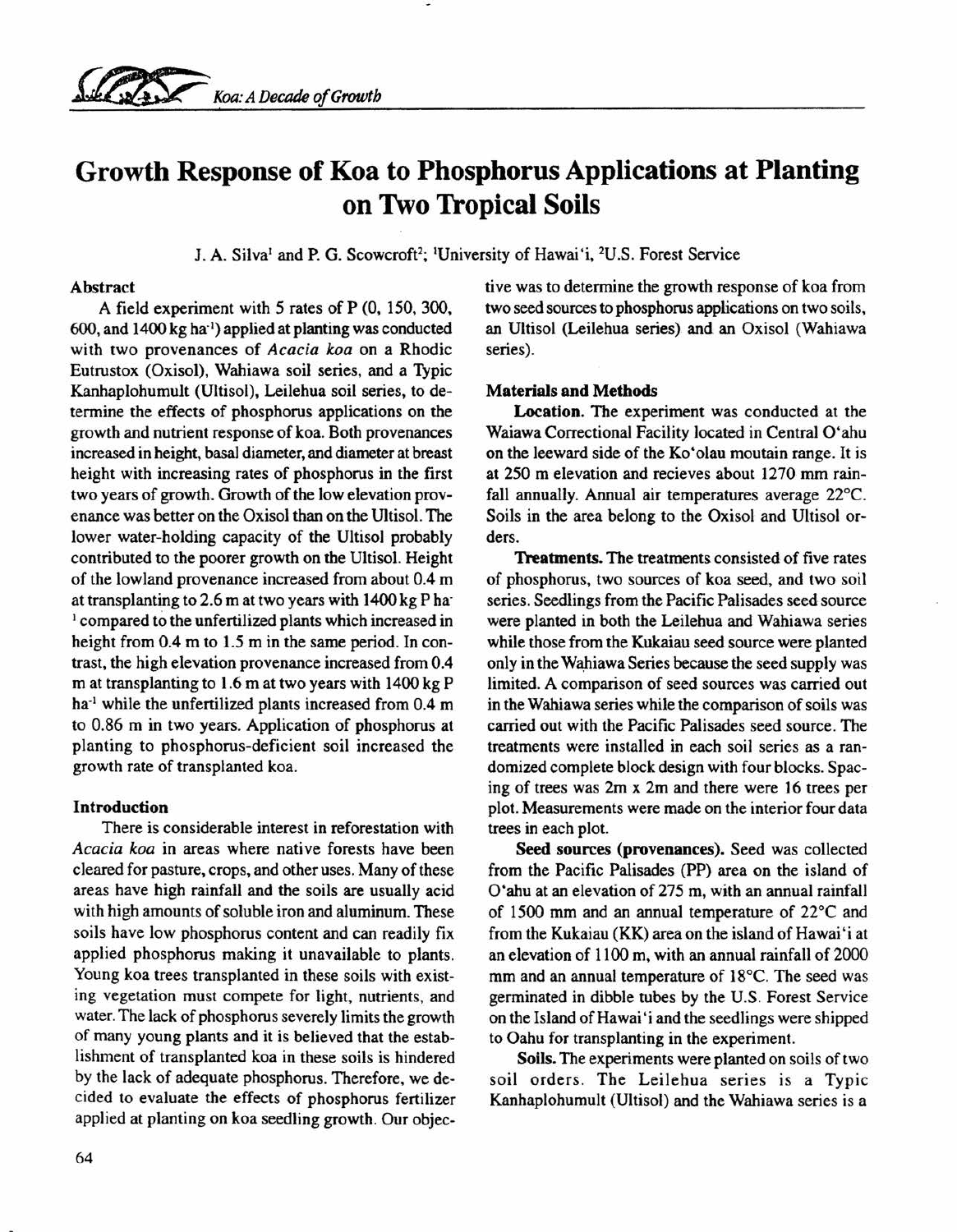

# Growth Response of Koa to Phosphorus Applications at Planting on Two Tropical Soils

J. A. Silva' and P. G. Scowcroff'; 'University of Hawai'i, 2U.S. Forest Service

# Abstract

A field experiment with 5 rates of P (0, 150, 300, 600, and 1400 kg ha') applied at planting was conducted with two provenances of *Acacia koa* on a Rhodic Eutrustox (Oxisol), Wahiawa soil series, and a Typic Kanhaplohumult (Ultisol), Leilehua soil series, to determine the effects of phosphorus applications on the growth and nutrient response of koa. Both provenances increased in height, basal diameter, and diameter at breast height with increasing rates of phosphorus in the first two years of growth. Growth of the low elevation provenance was better on the Oxisol than on the Ultisol. The lower water-holding capacity of the Ultisol probably contributed to the poorer growth on the Ultisol. Height of the lowland provenance increased from about 0.4 m at transplanting to 2.6 m at two years with 1400 kg P ha: <sup>1</sup> compared to the unfertilized plants which increased in height from 0.4 m to 1.5 m in the same period. In contrast, the high elevation provenance increased from 0.4 m at transplanting to 1.6 m at two years with 1400 kg P ha<sup>-1</sup> while the unfertilized plants increased from 0.4 m to 0.86 m in two years. Application of phosphorus at planting to phosphorus-deficient soil increased the growth rate of transplanted koa.

# Introduction

There is considerable interest in reforestation with *Acacia koa* in areas where native forests have been cleared for pasture, crops, and other uses. Many of these areas have high rainfall and the soils are usually acid with high amounts of soluble iron and aluminum. These soils have low phosphorus content and can readily fix applied phosphorus making it unavailable to plants. Young koa trees transplanted in these soils with existing vegetation must compete for light. nutrients. and water. The lack of phosphorus severely limits the growth of many young plants and it is believed that the establishment of transplanted koa in these soils is hindered by the lack of adequate phosphorus. Therefore, we decided to evaluate the effects of phosphorus fertilizer applied at planting on koa seedling growth. Our objective was to determine the growth response of koa from two seed sources to phosphorus applications on two soils, an Ultisol (Leilehua series) and an Oxisol (Wahiawa series).

# Materials and Methods

Location. The experiment was conducted at the Waiawa Correctional Facility located in Central O'ahu on the leeward side of the Ko'olau moutain range. It is at 250 m elevation and recieves about 1270 mm rainfall annually. Annual air temperatures average 22°C. Soils in the area belong to the Oxisol and Ultisol orders.

Treatments. The treatments consisted of five rates of phosphorus, two sources of koa seed, and two soil series. Seedlings from the Pacific Palisades seed source were planted in both the Leilehua and Wahiawa series while those from the Kukaiau seed source were planted only in the Wahiawa Series because the seed supply was limited. A comparison of seed sources was carried out in the Wahiawa series while the comparison of soils was carried out with the Pacific Palisades seed source. The treatments were installed in each soil series as a randomized complete block design with four blocks. Spacing of trees was 2m x 2m and there were 16 trees per plot. Measurements were made on the interior four data trees in each plot.

Seed sources (provenances). Seed was collected from the Pacific Palisades (PP) area on the island of O'ahu at an elevation of 275 m, with an annual rainfall of 1500 mm and an annual temperature of 22°C and from the Kukaiau (KK) area on the island of Hawai 'i at an elevation of 1100 m, with an annual rainfall of 2000 mm and an annual temperature of 18°C. The seed was germinated in dibble tubes by the U.S. Forest Service on the Island of Hawai 'i and the seedlings were shipped to Oahu for transplanting in the experiment.

Soils. The experiments were planted on soils of two soil orders. The Leilehua series is a Typic Kanhaplohumult (Ultisol) and the Wahiawa series is a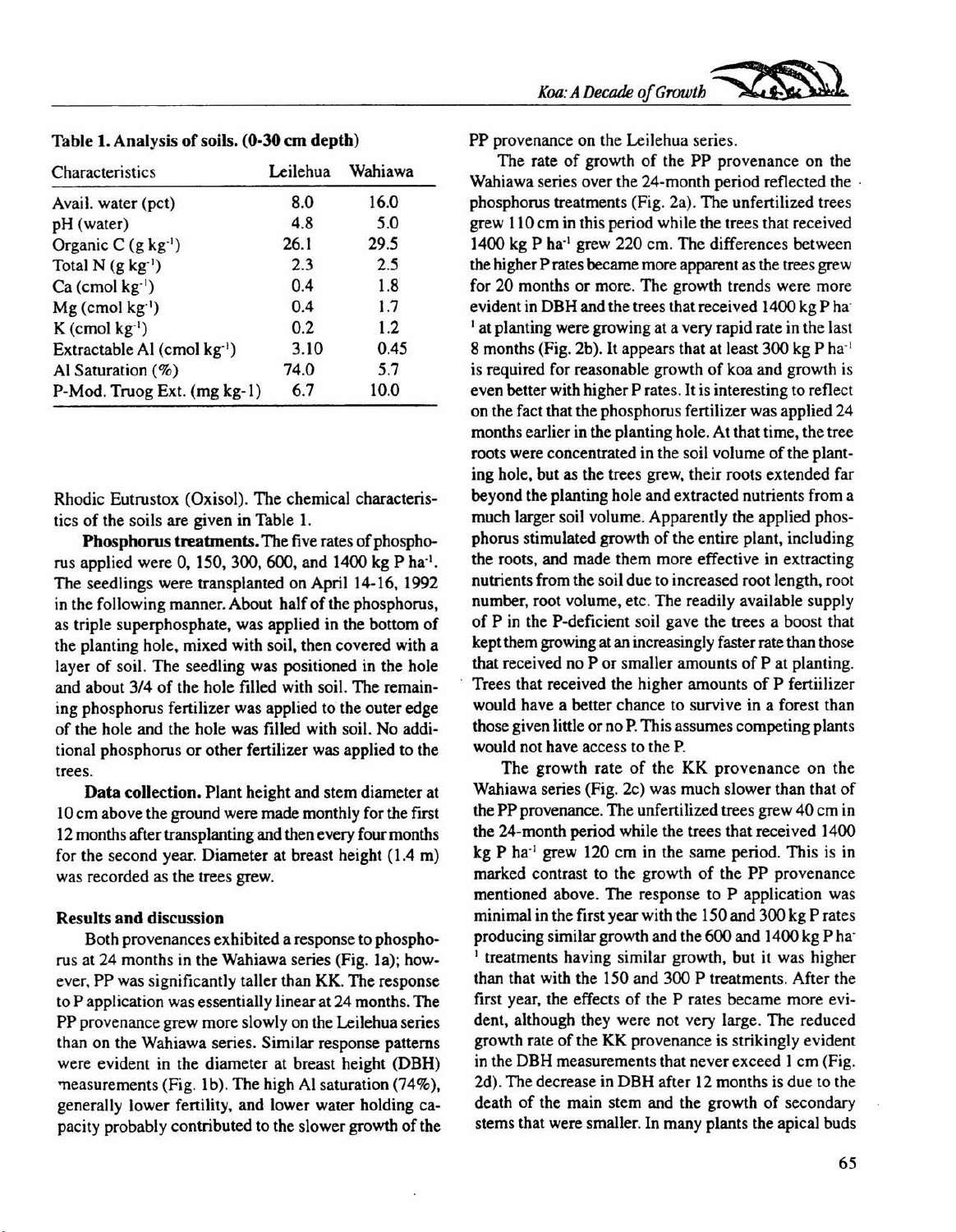| Characteristics                         | Leilehua | Wahiawa |
|-----------------------------------------|----------|---------|
| Avail. water (pct)                      | 8.0      | 16.0    |
| pH (water)                              | 4.8      | 5.0     |
| Organic C $(g \, kg^{-1})$              | 26.1     | 29.5    |
| Total $N$ (g kg <sup>-1</sup> )         | 2.3      | 2.5     |
| $Ca$ (cmol $kg^{-1}$ )                  | 0.4      | 1.8     |
| $Mg$ (cmol kg <sup>-1</sup> )           | 0.4      | 1.7     |
| $K$ (cmol kg <sup>-1</sup> )            | 0.2      | 1.2     |
| Extractable Al (cmol kg <sup>-1</sup> ) | 3.10     | 0.45    |
| Al Saturation (%)                       | 74.0     | 5.7     |
| P-Mod. Truog Ext. (mg kg-1)             | 6.7      | 10.0    |

Table 1. Analysis of soils. (0-30 cm depth)

Rhodic Eutrustox (Oxisol). The chemical characteristics of the soils are given in Table 1.

Phosphorus treatments. The five rates of phosphorus applied were 0, 150,300,600, and 1400 kg P ha'. The seedlings were transplanted on April 14-16, 1992 in the following manner. About half of the phosphorus, as triple superphosphate, was applied in the bottom of the planting hole, mixed with soil, then covered with a layer of soil. The seedling was positioned in the hole and about *3/4* of the hole filled with soil. The remaining phosphorus fertilizer was applied to the outer edge of the hole and the hole was filled with soil. No additional phosphorus or other fertilizer was applied to the trees.

Data collection. Plant height and stem diameter at 10 em above the ground were made monthly for the first 12 months after transplanting and then every four months for the second year. Diameter at breast height (1.4 m) was recorded as the trees grew.

#### Results and discussion

Both provenances exhibited a response to phosphorus at 24 months in the Wahiawa series (Fig. 1a); however, PP was significantly taller than KK. The response to P application was essentially linear at 24 months. The PP provenance grew more slowly on the Leilehua series than on the Wahiawa series. Similar response patterns were evident in the diameter at breast height (DBH) measurements (Fig. 1b). The high Al saturation (74%), generally lower fertility, and lower water holding capacity probably contributed to the slower growth of the PP provenance on the Leilehua series.

The rate of growth of the PP provenance on the Wahiawa series over the 24-month period reflected the · phosphorus treatments (Fig. 2a). The unfertilized trees grew 110 em in this period while the trees that received 1400 kg P ha' grew 220 em, The differences between the higher P rates became more apparent as the trees grew for 20 months or more. The growth trends were more evident in DBH and the trees that received 1400 kg P ha  $<sup>1</sup>$  at planting were growing at a very rapid rate in the last</sup> 8 months (Fig. 2b). It appears that at least  $300 \text{ kg} \, \text{P} \, \text{ha}^{-1}$ is required for reasonable growth of koa and growth is even better with higher P rates. It is interesting to reflect on the fact that the phosphorus fertilizer was applied 24 months earlier in the planting hole. At that time, the tree roots were concentrated in the soil volume of the planting hole, but as the trees grew, their roots extended far beyond the planting hole and extracted nutrients from a much larger soil volume. Apparently the applied phosphorus stimulated growth of the entire plant, including the roots, and made them more effective in extracting nutrients from the soil due to increased root length, root number, root volume, etc. The readily available supply of P in the P-deficient soil gave the trees a boost that kept them growing at an increasingly faster rate than those that received no P or smaller amounts of P at planting. Trees that received the higher amounts of P fertiilizer would have a better chance to survive in a forest than those given little or no P.This assumes competing plants would not have access to the P.

The growth rate of the KK provenance on the Wahiawa series (Fig. 2c) was much slower than that of the PP provenance. The unfertilized trees grew 40 cm in the 24-month period while the trees that received 1400  $kg P$  ha<sup>-1</sup> grew 120 cm in the same period. This is in marked contrast to the growth of the PP provenance mentioned above. The response to P application was minimal in the first year with the 150 and 300 kg Prates producing similar growth and the 600 and 1400 kg P ha <sup>1</sup> treatments having similar growth, but it was higher than that with the 150 and 300 P treatments. After the first year, the effects of the P rates became more evident, although they were not very large. The reduced growth rate of the KK provenance is strikingly evident in the DBH measurements that never exceed 1 cm (Fig. 2d). The decrease in DBH after 12 months is due to the death of the main stem and the growth of secondary stems that were smaller. In many plants the apical buds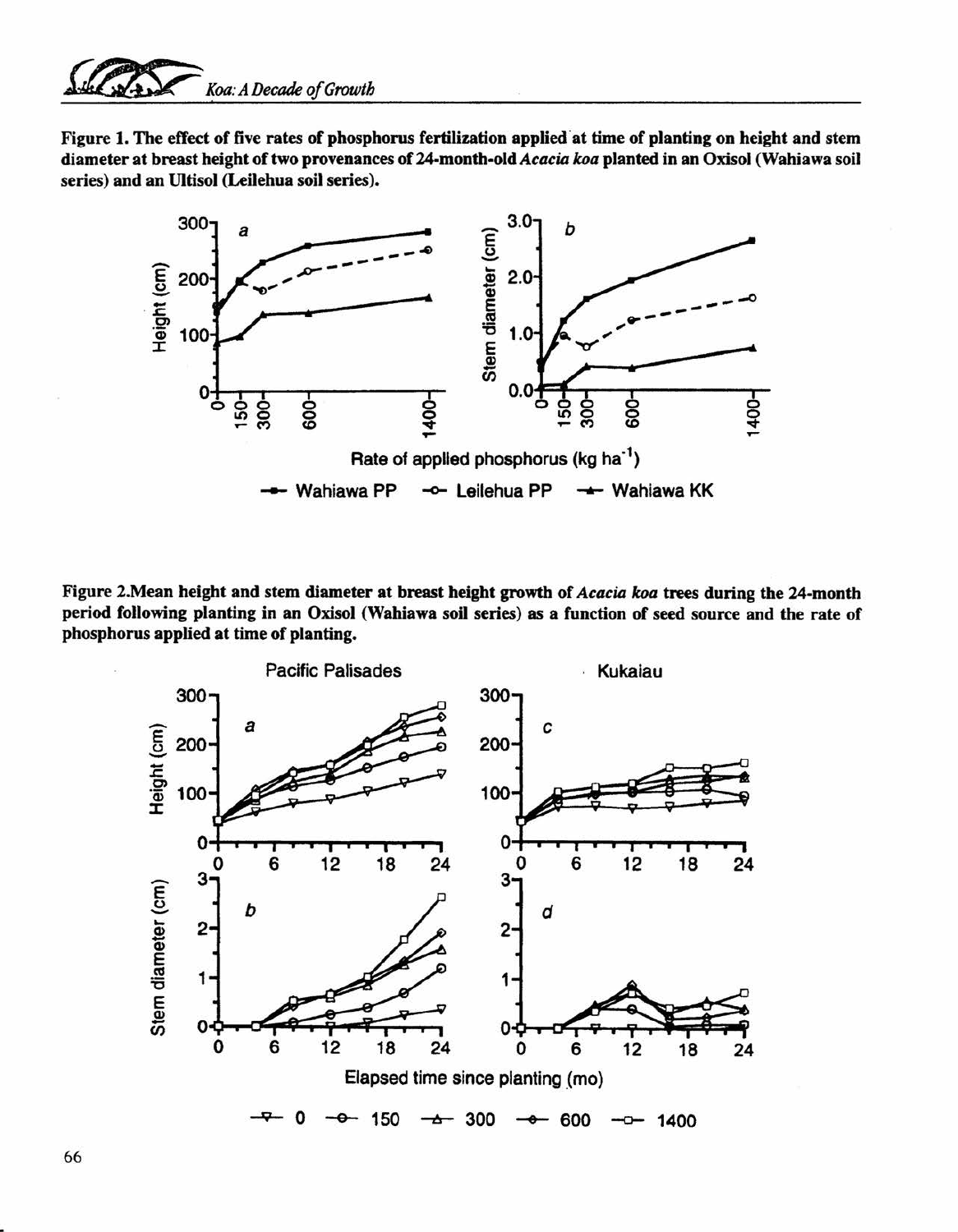# *~ Koa: A Decade of Growth*

Figure 1. The effect of five rates of phosphorus fertilization applied 'at time of planting on height and stem diameter at breast height of two provenances of 24-month-old *Acacia loa* planted in an Oxisol (Wahiawa soil series) and an U1tisol (Leilehua soil series).



Figure 2.Mean height and stem diameter at breast height growth of *Acacia koa* trees during the 24-month period following planting in an Oxisol (Wahiawa soil series) as a function of seed source and the rate of phosphorus applied at time of planting.



66